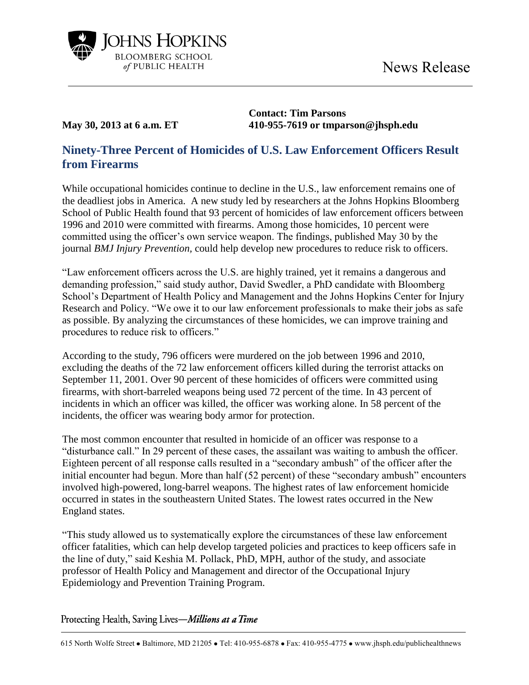



**Contact: Tim Parsons May 30, 2013 at 6 a.m. ET 410-955-7619 or tmparson@jhsph.edu**

## **Ninety-Three Percent of Homicides of U.S. Law Enforcement Officers Result from Firearms**

While occupational homicides continue to decline in the U.S., law enforcement remains one of the deadliest jobs in America. A new study led by researchers at the Johns Hopkins Bloomberg School of Public Health found that 93 percent of homicides of law enforcement officers between 1996 and 2010 were committed with firearms. Among those homicides, 10 percent were committed using the officer's own service weapon. The findings, published May 30 by the journal *BMJ Injury Prevention,* could help develop new procedures to reduce risk to officers.

"Law enforcement officers across the U.S. are highly trained, yet it remains a dangerous and demanding profession," said study author, David Swedler, a PhD candidate with Bloomberg School's Department of Health Policy and Management and the Johns Hopkins Center for Injury Research and Policy. "We owe it to our law enforcement professionals to make their jobs as safe as possible. By analyzing the circumstances of these homicides, we can improve training and procedures to reduce risk to officers."

According to the study, 796 officers were murdered on the job between 1996 and 2010, excluding the deaths of the 72 law enforcement officers killed during the terrorist attacks on September 11, 2001. Over 90 percent of these homicides of officers were committed using firearms, with short-barreled weapons being used 72 percent of the time. In 43 percent of incidents in which an officer was killed, the officer was working alone. In 58 percent of the incidents, the officer was wearing body armor for protection.

The most common encounter that resulted in homicide of an officer was response to a "disturbance call." In 29 percent of these cases, the assailant was waiting to ambush the officer. Eighteen percent of all response calls resulted in a "secondary ambush" of the officer after the initial encounter had begun. More than half (52 percent) of these "secondary ambush" encounters involved high-powered, long-barrel weapons. The highest rates of law enforcement homicide occurred in states in the southeastern United States. The lowest rates occurred in the New England states.

"This study allowed us to systematically explore the circumstances of these law enforcement officer fatalities, which can help develop targeted policies and practices to keep officers safe in the line of duty," said Keshia M. Pollack, PhD, MPH, author of the study, and associate professor of Health Policy and Management and director of the Occupational Injury Epidemiology and Prevention Training Program.

Protecting Health, Saving Lives-Millions at a Time